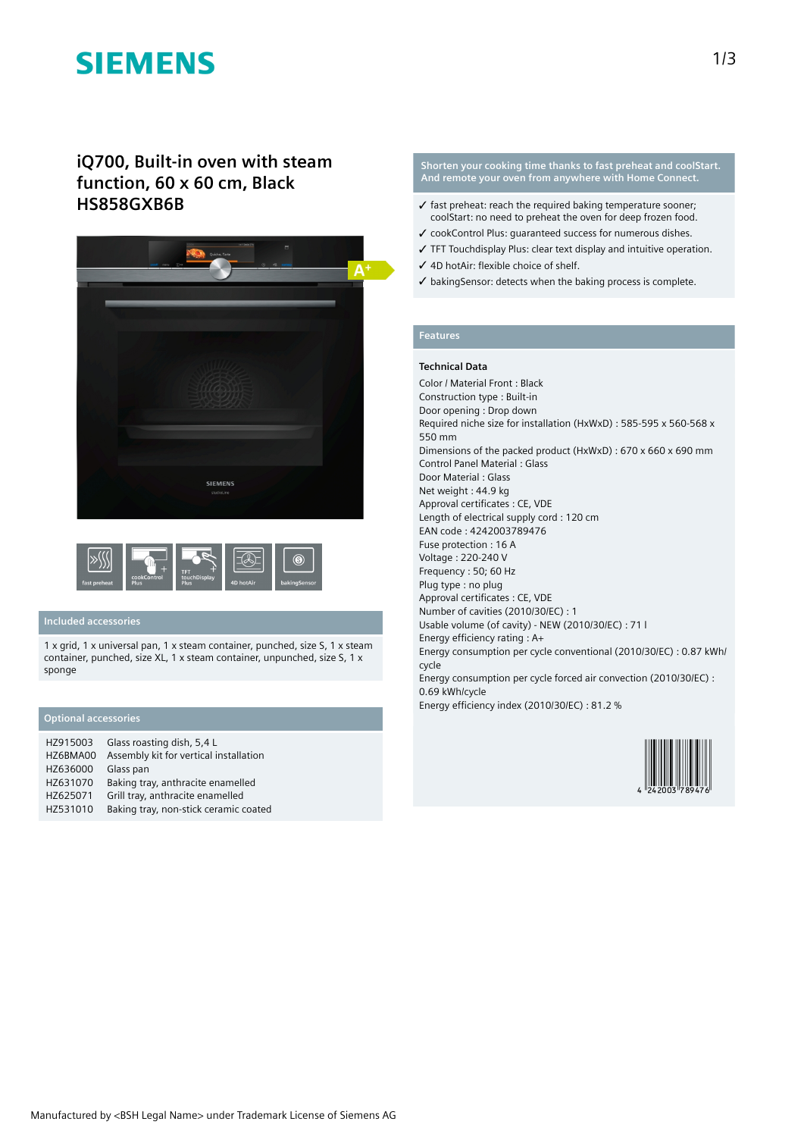# **SIEMENS**

# **iQ700, Built-in oven with steam function, 60 x 60 cm, Black HS858GXB6B**





# **Included accessories**

1 x grid, 1 x universal pan, 1 x steam container, punched, size S, 1 x steam container, punched, size XL, 1 x steam container, unpunched, size S, 1 x sponge

## **Optional accessories**

| HZ915003 | Glass roasting dish, 5,4 L             |
|----------|----------------------------------------|
| HZ6BMA00 | Assembly kit for vertical installation |
| HZ636000 | Glass pan                              |
| HZ631070 | Baking tray, anthracite enamelled      |
| HZ625071 | Grill tray, anthracite enamelled       |
| HZ531010 | Baking tray, non-stick ceramic coated  |

#### **Shorten your cooking time thanks to fast preheat and coolStart. And remote your oven from anywhere with Home Connect.**

- $\checkmark$  fast preheat: reach the required baking temperature sooner: coolStart: no need to preheat the oven for deep frozen food.
- ✓ cookControl Plus: guaranteed success for numerous dishes.
- ✓ TFT Touchdisplay Plus: clear text display and intuitive operation.
- ✓ 4D hotAir: flexible choice of shelf.
- ✓ bakingSensor: detects when the baking process is complete.

# **Features**

### **Technical Data**

Color / Material Front : Black Construction type : Built-in Door opening : Drop down Required niche size for installation (HxWxD) : 585-595 x 560-568 x 550 mm Dimensions of the packed product (HxWxD) : 670 x 660 x 690 mm Control Panel Material : Glass Door Material : Glass Net weight : 44.9 kg Approval certificates : CE, VDE Length of electrical supply cord : 120 cm EAN code : 4242003789476 Fuse protection : 16 A Voltage : 220-240 V Frequency : 50; 60 Hz Plug type : no plug Approval certificates : CE, VDE Number of cavities (2010/30/EC) : 1 Usable volume (of cavity) - NEW (2010/30/EC) : 71 l Energy efficiency rating : A+ Energy consumption per cycle conventional (2010/30/EC) : 0.87 kWh/ cycle Energy consumption per cycle forced air convection (2010/30/EC) : 0.69 kWh/cycle



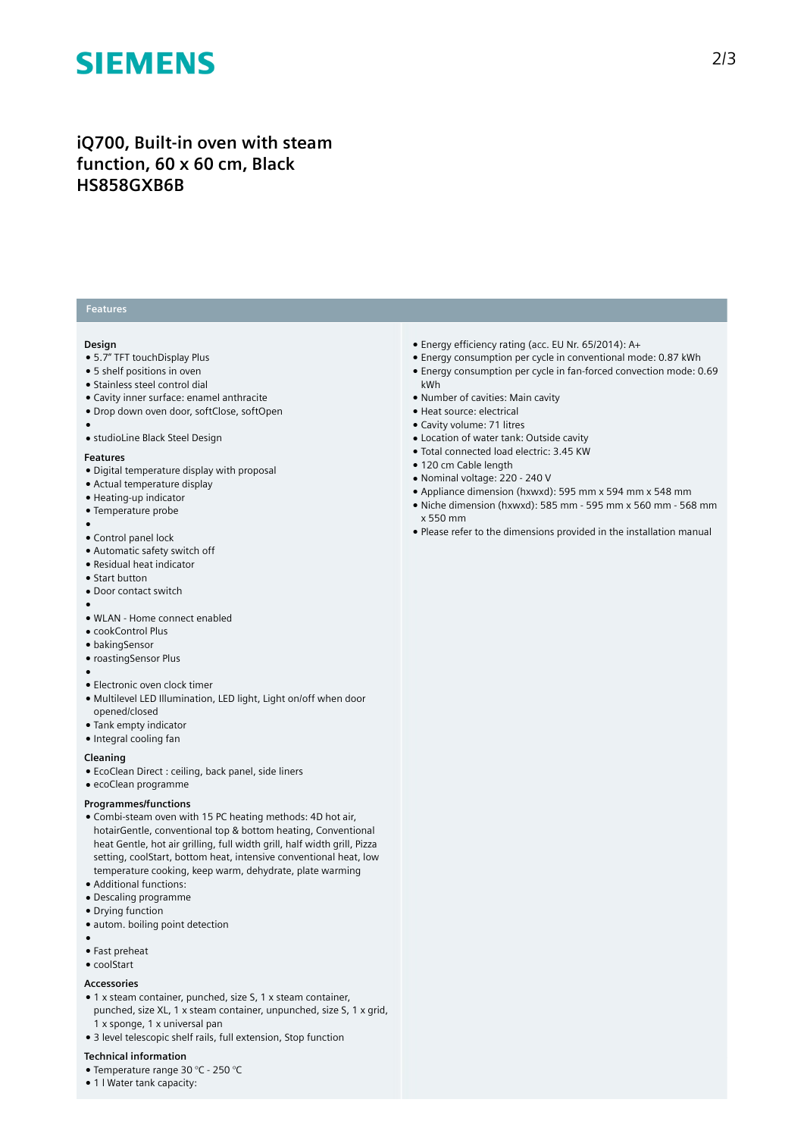# **SIEMENS**

# **iQ700, Built-in oven with steam function, 60 x 60 cm, Black HS858GXB6B**

## **Features**

#### **Design**

- 5.7" TFT touchDisplay Plus
- 5 shelf positions in oven
- Stainless steel control dial
- Cavity inner surface: enamel anthracite
- Drop down oven door, softClose, softOpen
- ●
- studioLine Black Steel Design

#### **Features**

- Digital temperature display with proposal
- Actual temperature display
- Heating-up indicator
- Temperature probe
- ●
- Control panel lock
- Automatic safety switch off
- Residual heat indicator
- Start button
- Door contact switch
- ● WLAN - Home connect enabled
- cookControl Plus
- bakingSensor
- roastingSensor Plus
- ●
- Electronic oven clock timer
- Multilevel LED Illumination, LED light, Light on/off when door opened/closed
- Tank empty indicator
- Integral cooling fan

#### **Cleaning**

- EcoClean Direct : ceiling, back panel, side liners
- ecoClean programme

## **Programmes/functions**

- Combi-steam oven with 15 PC heating methods: 4D hot air, hotairGentle, conventional top & bottom heating, Conventional heat Gentle, hot air grilling, full width grill, half width grill, Pizza setting, coolStart, bottom heat, intensive conventional heat, low temperature cooking, keep warm, dehydrate, plate warming
- Additional functions:
- Descaling programme
- Drying function
- autom. boiling point detection
- ●
- Fast preheat
- coolStart

#### **Accessories**

- 1 x steam container, punched, size S, 1 x steam container, punched, size XL, 1 x steam container, unpunched, size S, 1 x grid, 1 x sponge, 1 x universal pan
- 3 level telescopic shelf rails, full extension, Stop function

### **Technical information**

- Temperature range 30 °C 250 °C
- 1 l Water tank capacity:
- Energy efficiency rating (acc. EU Nr. 65/2014): A+
- Energy consumption per cycle in conventional mode: 0.87 kWh ● Energy consumption per cycle in fan-forced convection mode: 0.69 kWh
- Number of cavities: Main cavity
- Heat source: electrical
- Cavity volume: 71 litres
- Location of water tank: Outside cavity
- Total connected load electric: 3.45 KW
- 120 cm Cable length
- Nominal voltage: 220 240 V
- Appliance dimension (hxwxd): 595 mm x 594 mm x 548 mm
- Niche dimension (hxwxd): 585 mm 595 mm x 560 mm 568 mm x 550 mm
- Please refer to the dimensions provided in the installation manual